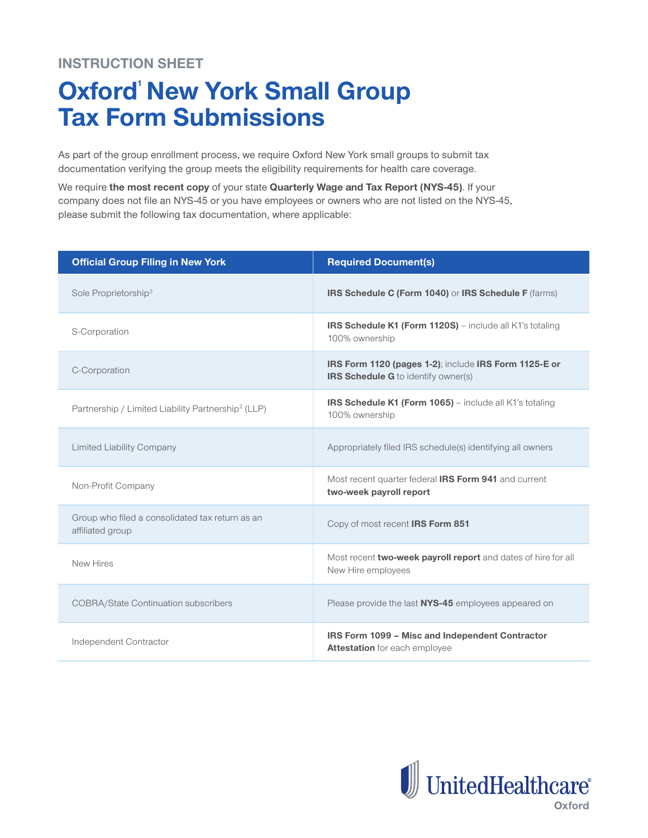## **INSTRUCTION SHEET**

## **Oxford New York Small Group Tax Form Submissions**

As part of the group enrollment process, we require Oxford New York small groups to submit tax documentation verifying the group meets the eligibility requirements for health care coverage.

We require **the most recent copy** of your state **Quarterly Wage and Tax Report (NYS-45)**. If your company does not file an NYS-45 or you have employees or owners who are not listed on the NYS-45, please submit the following tax documentation, where applicable:

| <b>Official Group Filing in New York</b>                            | <b>Required Document(s)</b>                                                                         |  |
|---------------------------------------------------------------------|-----------------------------------------------------------------------------------------------------|--|
| Sole Proprietorship <sup>2</sup>                                    | IRS Schedule C (Form 1040) or IRS Schedule F (farms)                                                |  |
| S-Corporation                                                       | <b>IRS Schedule K1 (Form 1120S)</b> – include all K1's totaling<br>100% ownership                   |  |
| C-Corporation                                                       | IRS Form 1120 (pages 1-2); include IRS Form 1125-E or<br><b>IRS Schedule G</b> to identify owner(s) |  |
| Partnership / Limited Liability Partnership <sup>2</sup> (LLP)      | IRS Schedule K1 (Form 1065) - include all K1's totaling<br>100% ownership                           |  |
| <b>Limited Liability Company</b>                                    | Appropriately filed IRS schedule(s) identifying all owners                                          |  |
| Non-Profit Company                                                  | Most recent quarter federal IRS Form 941 and current<br>two-week payroll report                     |  |
| Group who filed a consolidated tax return as an<br>affiliated group | Copy of most recent IRS Form 851                                                                    |  |
| New Hires                                                           | Most recent two-week payroll report and dates of hire for all<br>New Hire employees                 |  |
| <b>COBRA/State Continuation subscribers</b>                         | Please provide the last NYS-45 employees appeared on                                                |  |
| Independent Contractor                                              | IRS Form 1099 - Misc and Independent Contractor<br><b>Attestation</b> for each employee             |  |